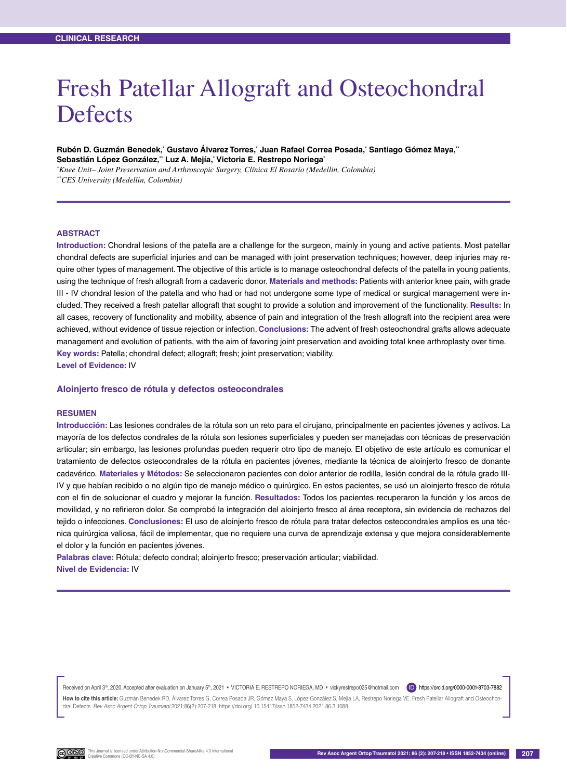# Fresh Patellar Allograft and Osteochondral **Defects**

Rubén D. Guzmán Benedek,<sup>•</sup> Gustavo Alvarez Torres,<sup>•</sup> Juan Rafael Correa Posada,<sup>•</sup> Santiago Gómez Maya,<sup></sup>" **Sebastián López González,\*\* Luz A. Mejía,\* Victoria E. Restrepo Noriega\***

*\* Knee Unit– Joint Preservation and Arthroscopic Surgery, Clínica El Rosario (Medellin, Colombia)*

*\*\*CES University (Medellin, Colombia)*

#### **ABSTRACT**

**Introduction:** Chondral lesions of the patella are a challenge for the surgeon, mainly in young and active patients. Most patellar chondral defects are superficial injuries and can be managed with joint preservation techniques; however, deep injuries may require other types of management. The objective of this article is to manage osteochondral defects of the patella in young patients, using the technique of fresh allograft from a cadaveric donor. **Materials and methods:** Patients with anterior knee pain, with grade III - IV chondral lesion of the patella and who had or had not undergone some type of medical or surgical management were included. They received a fresh patellar allograft that sought to provide a solution and improvement of the functionality. **Results:** In all cases, recovery of functionality and mobility, absence of pain and integration of the fresh allograft into the recipient area were achieved, without evidence of tissue rejection or infection. **Conclusions:** The advent of fresh osteochondral grafts allows adequate management and evolution of patients, with the aim of favoring joint preservation and avoiding total knee arthroplasty over time. **Key words:** Patella; chondral defect; allograft; fresh; joint preservation; viability. **Level of Evidence:** IV

### **Aloinjerto fresco de rótula y defectos osteocondrales**

#### **Resumen**

**Introducción:** Las lesiones condrales de la rótula son un reto para el cirujano, principalmente en pacientes jóvenes y activos. La mayoría de los defectos condrales de la rótula son lesiones superficiales y pueden ser manejadas con técnicas de preservación articular; sin embargo, las lesiones profundas pueden requerir otro tipo de manejo. El objetivo de este artículo es comunicar el tratamiento de defectos osteocondrales de la rótula en pacientes jóvenes, mediante la técnica de aloinjerto fresco de donante cadavérico. **Materiales y Métodos:** Se seleccionaron pacientes con dolor anterior de rodilla, lesión condral de la rótula grado III-IV y que habían recibido o no algún tipo de manejo médico o quirúrgico. En estos pacientes, se usó un aloinjerto fresco de rótula con el fin de solucionar el cuadro y mejorar la función. **Resultados:** Todos los pacientes recuperaron la función y los arcos de movilidad, y no refirieron dolor. Se comprobó la integración del aloinjerto fresco al área receptora, sin evidencia de rechazos del tejido o infecciones. **Conclusiones:** El uso de aloinjerto fresco de rótula para tratar defectos osteocondrales amplios es una técnica quirúrgica valiosa, fácil de implementar, que no requiere una curva de aprendizaje extensa y que mejora considerablemente el dolor y la función en pacientes jóvenes.

**Palabras clave:** Rótula; defecto condral; aloinjerto fresco; preservación articular; viabilidad. **Nivel de Evidencia:** IV

Received on April 3<sup>rd</sup>, 2020. Accepted after evaluation on January 5<sup>th</sup>, 2021 • VICTORIA E. RESTREPO NORIEGA, MD • vickyrestrepo025@hotmail.com (D) https://orcid.org/0000-0001-8703-7882

How to cite this article: Guzmán Benedek RD, Álvarez Torres G, Correa Posada JR, Gómez Maya S, López González S, Mejía LA, Restrepo Noriega VE. Fresh Patellar Allograft and Osteochondral Defects. *Rev Asoc Argent Ortop Traumatol* 2021;86(2):207-218. https://doi.org/ 10.15417/issn.1852-7434.2021.86.3.1088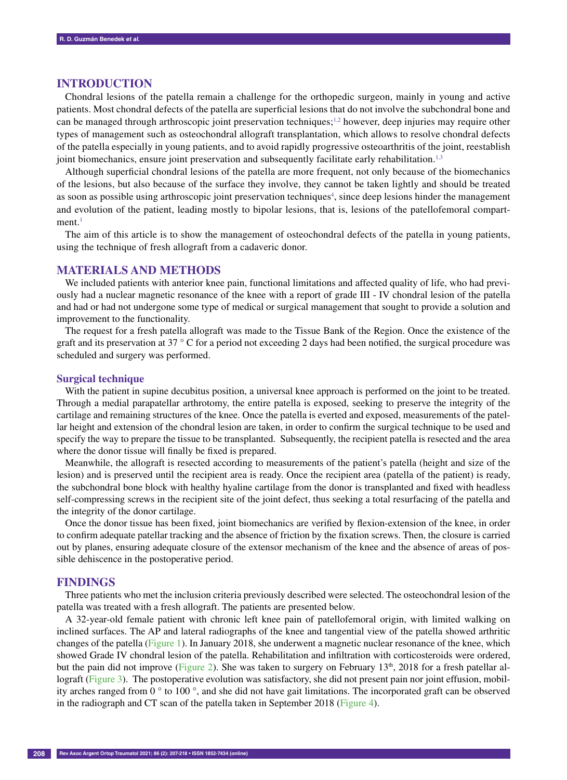## **Introduction**

Chondral lesions of the patella remain a challenge for the orthopedic surgeon, mainly in young and active patients. Most chondral defects of the patella are superficial lesions that do not involve the subchondral bone and can be managed through arthroscopic joint preservation techniques;<sup>1,2</sup> however, deep injuries may require other types of management such as osteochondral allograft transplantation, which allows to resolve chondral defects of the patella especially in young patients, and to avoid rapidly progressive osteoarthritis of the joint, reestablish joint biomechanics, ensure joint preservation and subsequently facilitate early rehabilitation.<sup>1,3</sup>

Although superficial chondral lesions of the patella are more frequent, not only because of the biomechanics of the lesions, but also because of the surface they involve, they cannot be taken lightly and should be treated as soon as possible using arthroscopic joint preservation techniques<sup>4</sup>, since deep lesions hinder the management and evolution of the patient, leading mostly to bipolar lesions, that is, lesions of the patellofemoral compart $ment.<sup>1</sup>$ 

The aim of this article is to show the management of osteochondral defects of the patella in young patients, using the technique of fresh allograft from a cadaveric donor.

## **Materials and Methods**

We included patients with anterior knee pain, functional limitations and affected quality of life, who had previously had a nuclear magnetic resonance of the knee with a report of grade III - IV chondral lesion of the patella and had or had not undergone some type of medical or surgical management that sought to provide a solution and improvement to the functionality.

The request for a fresh patella allograft was made to the Tissue Bank of the Region. Once the existence of the graft and its preservation at 37 ° C for a period not exceeding 2 days had been notified, the surgical procedure was scheduled and surgery was performed.

#### **Surgical technique**

With the patient in supine decubitus position, a universal knee approach is performed on the joint to be treated. Through a medial parapatellar arthrotomy, the entire patella is exposed, seeking to preserve the integrity of the cartilage and remaining structures of the knee. Once the patella is everted and exposed, measurements of the patellar height and extension of the chondral lesion are taken, in order to confirm the surgical technique to be used and specify the way to prepare the tissue to be transplanted. Subsequently, the recipient patella is resected and the area where the donor tissue will finally be fixed is prepared.

Meanwhile, the allograft is resected according to measurements of the patient's patella (height and size of the lesion) and is preserved until the recipient area is ready. Once the recipient area (patella of the patient) is ready, the subchondral bone block with healthy hyaline cartilage from the donor is transplanted and fixed with headless self-compressing screws in the recipient site of the joint defect, thus seeking a total resurfacing of the patella and the integrity of the donor cartilage.

Once the donor tissue has been fixed, joint biomechanics are verified by flexion-extension of the knee, in order to confirm adequate patellar tracking and the absence of friction by the fixation screws. Then, the closure is carried out by planes, ensuring adequate closure of the extensor mechanism of the knee and the absence of areas of possible dehiscence in the postoperative period.

## **Findings**

Three patients who met the inclusion criteria previously described were selected. The osteochondral lesion of the patella was treated with a fresh allograft. The patients are presented below.

A 32-year-old female patient with chronic left knee pain of patellofemoral origin, with limited walking on inclined surfaces. The AP and lateral radiographs of the knee and tangential view of the patella showed arthritic changes of the patella (Figure 1). In January 2018, she underwent a magnetic nuclear resonance of the knee, which showed Grade IV chondral lesion of the patella. Rehabilitation and infiltration with corticosteroids were ordered, but the pain did not improve (Figure 2). She was taken to surgery on February  $13<sup>th</sup>$ , 2018 for a fresh patellar allograft (Figure 3). The postoperative evolution was satisfactory, she did not present pain nor joint effusion, mobility arches ranged from 0 ° to 100 °, and she did not have gait limitations. The incorporated graft can be observed in the radiograph and CT scan of the patella taken in September 2018 (Figure 4).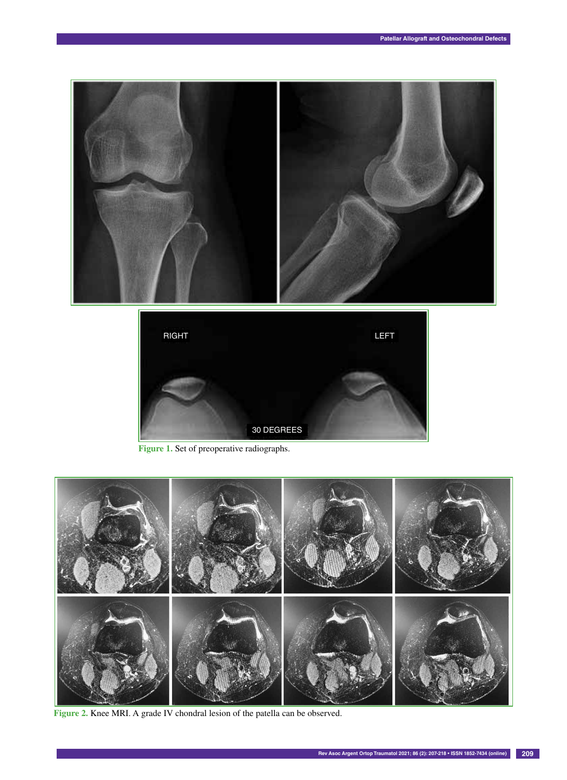



Figure 1. Set of preoperative radiographs.



Figure 2. Knee MRI. A grade IV chondral lesion of the patella can be observed.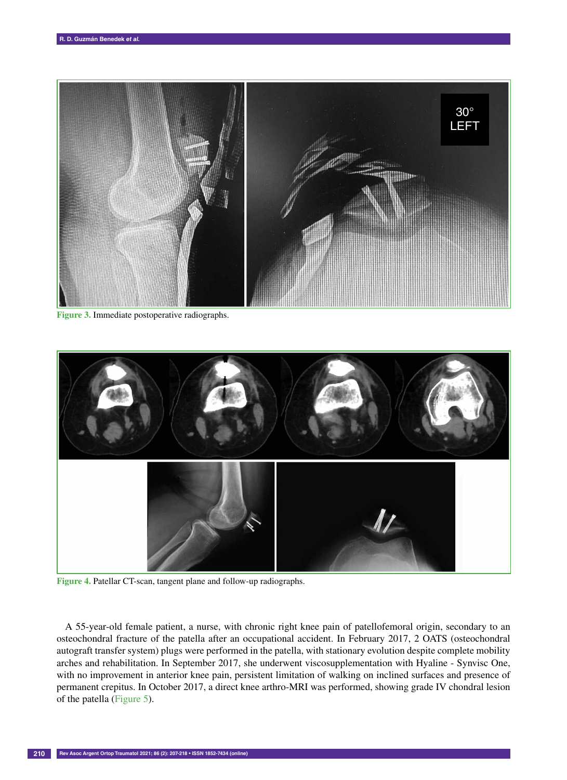

**Figure 3.** Immediate postoperative radiographs.



**Figure 4.** Patellar CT-scan, tangent plane and follow-up radiographs.

A 55-year-old female patient, a nurse, with chronic right knee pain of patellofemoral origin, secondary to an osteochondral fracture of the patella after an occupational accident. In February 2017, 2 OATS (osteochondral autograft transfer system) plugs were performed in the patella, with stationary evolution despite complete mobility arches and rehabilitation. In September 2017, she underwent viscosupplementation with Hyaline - Synvisc One, with no improvement in anterior knee pain, persistent limitation of walking on inclined surfaces and presence of permanent crepitus. In October 2017, a direct knee arthro-MRI was performed, showing grade IV chondral lesion of the patella (Figure 5).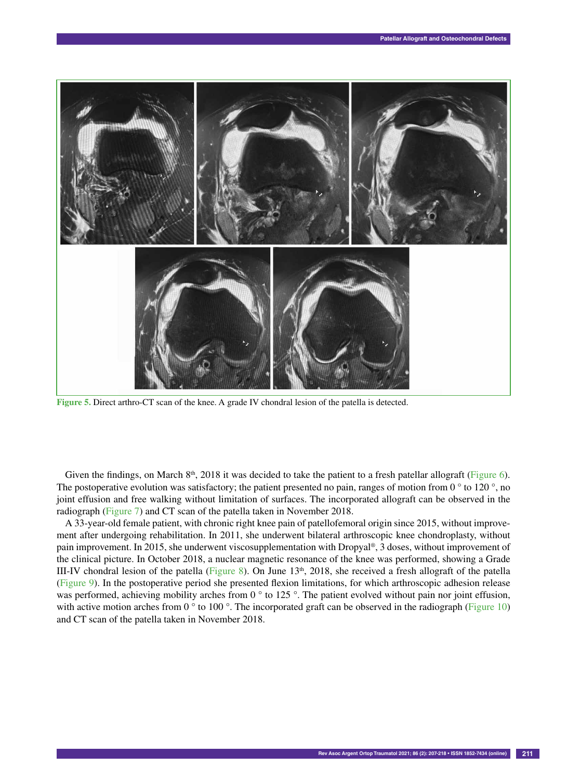

**Figure 5.** Direct arthro-CT scan of the knee. A grade IV chondral lesion of the patella is detected.

Given the findings, on March  $8<sup>th</sup>$ , 2018 it was decided to take the patient to a fresh patellar allograft (Figure 6). The postoperative evolution was satisfactory; the patient presented no pain, ranges of motion from 0 $\degree$  to 120 $\degree$ , no joint effusion and free walking without limitation of surfaces. The incorporated allograft can be observed in the radiograph (Figure 7) and CT scan of the patella taken in November 2018.

A 33-year-old female patient, with chronic right knee pain of patellofemoral origin since 2015, without improvement after undergoing rehabilitation. In 2011, she underwent bilateral arthroscopic knee chondroplasty, without pain improvement. In 2015, she underwent viscosupplementation with Dropyal®, 3 doses, without improvement of the clinical picture. In October 2018, a nuclear magnetic resonance of the knee was performed, showing a Grade III-IV chondral lesion of the patella (Figure 8). On June  $13<sup>th</sup>$ , 2018, she received a fresh allograft of the patella (Figure 9). In the postoperative period she presented flexion limitations, for which arthroscopic adhesion release was performed, achieving mobility arches from 0 ° to 125 °. The patient evolved without pain nor joint effusion, with active motion arches from 0  $\degree$  to 100  $\degree$ . The incorporated graft can be observed in the radiograph (Figure 10) and CT scan of the patella taken in November 2018.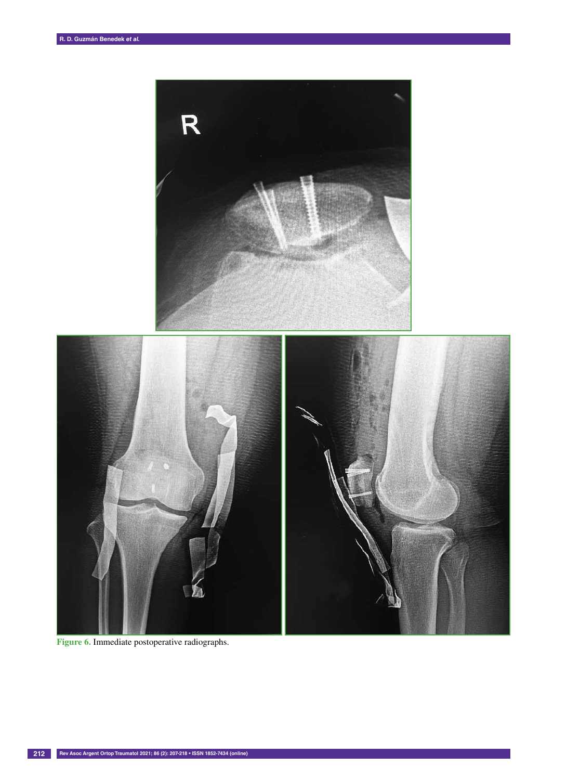

**Figure 6.** Immediate postoperative radiographs.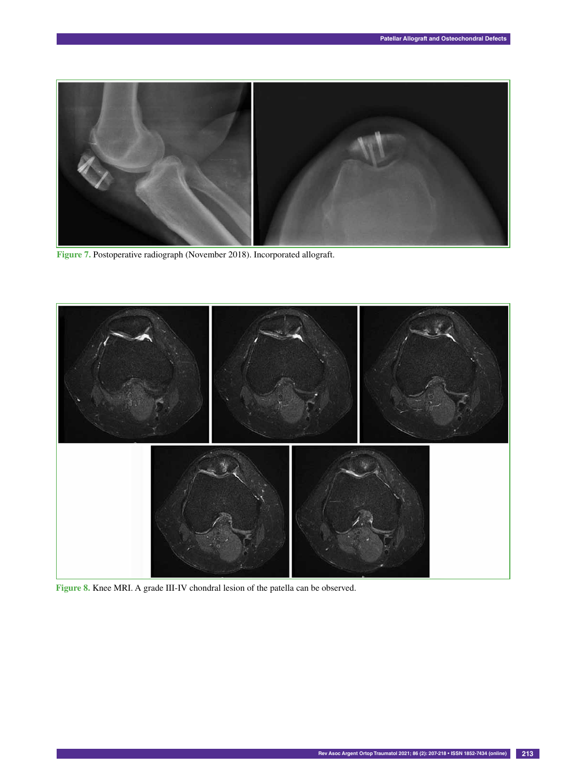

**Figure 7.** Postoperative radiograph (November 2018). Incorporated allograft.



**Figure 8.** Knee MRI. A grade III-IV chondral lesion of the patella can be observed.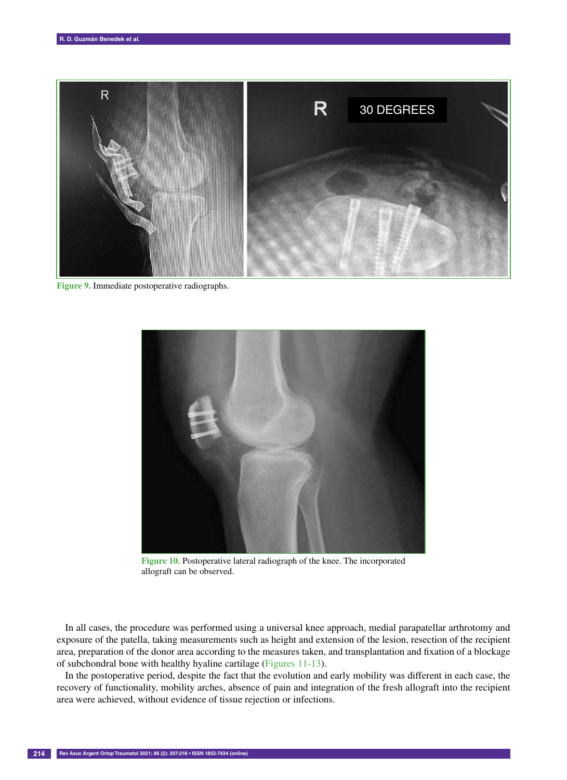

**Figure 9.** Immediate postoperative radiographs.



**Figure 10.** Postoperative lateral radiograph of the knee. The incorporated allograft can be observed.

In all cases, the procedure was performed using a universal knee approach, medial parapatellar arthrotomy and exposure of the patella, taking measurements such as height and extension of the lesion, resection of the recipient area, preparation of the donor area according to the measures taken, and transplantation and fixation of a blockage of subchondral bone with healthy hyaline cartilage (Figures 11-13).

In the postoperative period, despite the fact that the evolution and early mobility was different in each case, the recovery of functionality, mobility arches, absence of pain and integration of the fresh allograft into the recipient area were achieved, without evidence of tissue rejection or infections.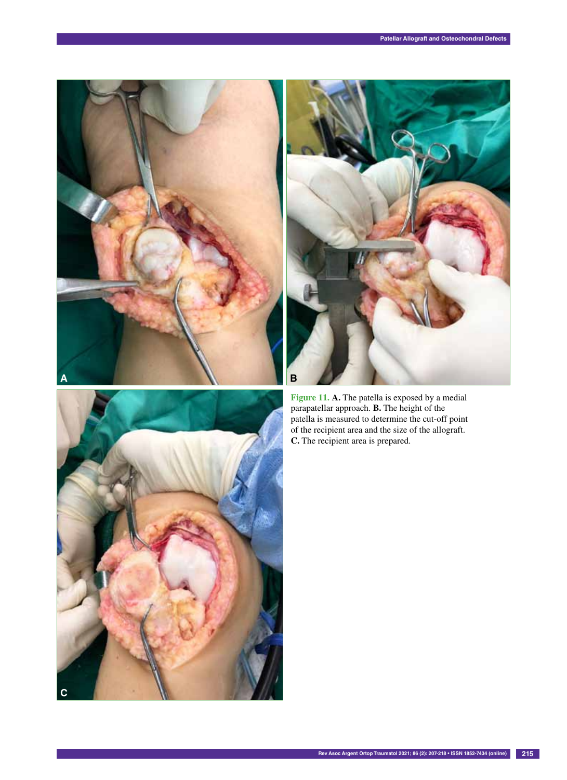



**Figure 11. A.** The patella is exposed by a medial parapatellar approach. **B.** The height of the patella is measured to determine the cut-off point of the recipient area and the size of the allograft. **C.** The recipient area is prepared.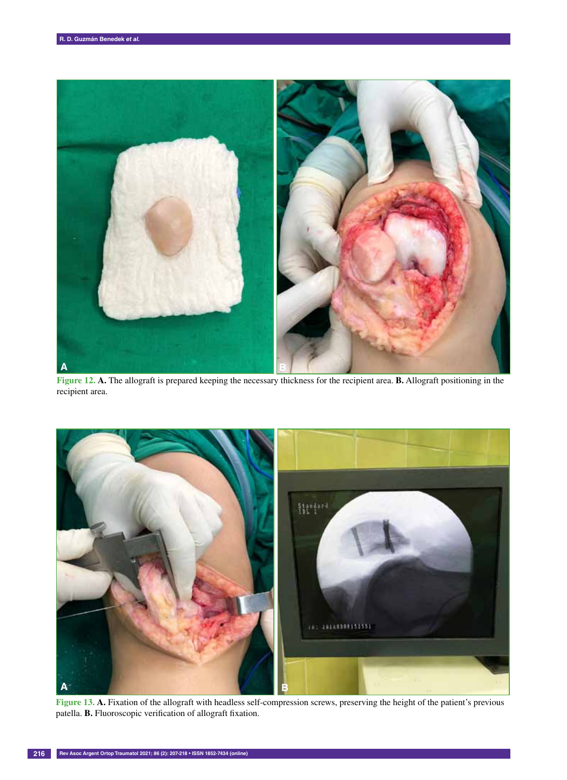

**Figure 12. A.** The allograft is prepared keeping the necessary thickness for the recipient area. **B.** Allograft positioning in the recipient area.



**Figure 13. A.** Fixation of the allograft with headless self-compression screws, preserving the height of the patient's previous patella. **B.** Fluoroscopic verification of allograft fixation.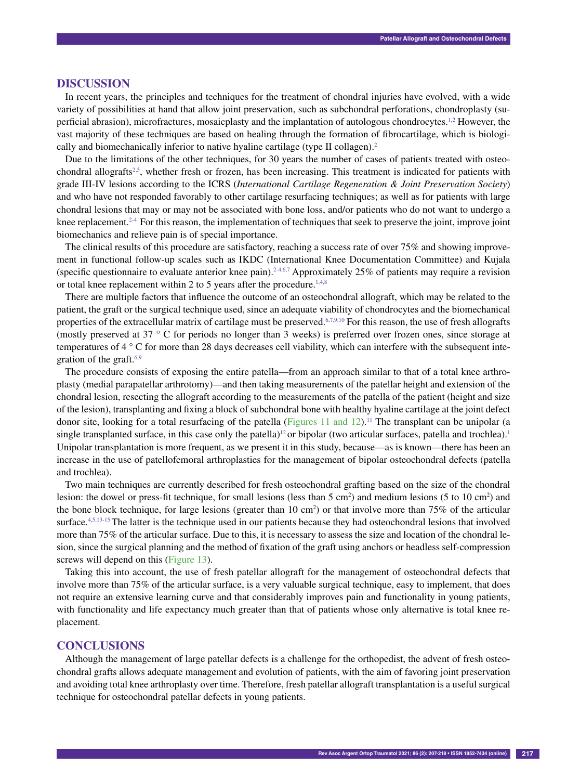#### **Discussion**

In recent years, the principles and techniques for the treatment of chondral injuries have evolved, with a wide variety of possibilities at hand that allow joint preservation, such as subchondral perforations, chondroplasty (superficial abrasion), microfractures, mosaicplasty and the implantation of autologous chondrocytes.1,2 However, the vast majority of these techniques are based on healing through the formation of fibrocartilage, which is biologically and biomechanically inferior to native hyaline cartilage (type II collagen).<sup>2</sup>

Due to the limitations of the other techniques, for 30 years the number of cases of patients treated with osteochondral allografts<sup>2,5</sup>, whether fresh or frozen, has been increasing. This treatment is indicated for patients with grade III-IV lesions according to the ICRS (*International Cartilage Regeneration & Joint Preservation Society*) and who have not responded favorably to other cartilage resurfacing techniques; as well as for patients with large chondral lesions that may or may not be associated with bone loss, and/or patients who do not want to undergo a knee replacement.<sup>24</sup> For this reason, the implementation of techniques that seek to preserve the joint, improve joint biomechanics and relieve pain is of special importance.

The clinical results of this procedure are satisfactory, reaching a success rate of over 75% and showing improvement in functional follow-up scales such as IKDC (International Knee Documentation Committee) and Kujala (specific questionnaire to evaluate anterior knee pain).<sup>2-4,6,7</sup> Approximately 25% of patients may require a revision or total knee replacement within 2 to 5 years after the procedure.<sup>1,4,8</sup>

There are multiple factors that influence the outcome of an osteochondral allograft, which may be related to the patient, the graft or the surgical technique used, since an adequate viability of chondrocytes and the biomechanical properties of the extracellular matrix of cartilage must be preserved.6,7,9,10 For this reason, the use of fresh allografts (mostly preserved at 37 ° C for periods no longer than 3 weeks) is preferred over frozen ones, since storage at temperatures of 4 ° C for more than 28 days decreases cell viability, which can interfere with the subsequent integration of the graft.<sup>6,9</sup>

The procedure consists of exposing the entire patella—from an approach similar to that of a total knee arthroplasty (medial parapatellar arthrotomy)—and then taking measurements of the patellar height and extension of the chondral lesion, resecting the allograft according to the measurements of the patella of the patient (height and size of the lesion), transplanting and fixing a block of subchondral bone with healthy hyaline cartilage at the joint defect donor site, looking for a total resurfacing of the patella (Figures 11 and  $12$ ).<sup>11</sup> The transplant can be unipolar (a single transplanted surface, in this case only the patella)<sup>12</sup> or bipolar (two articular surfaces, patella and trochlea).<sup>1</sup> Unipolar transplantation is more frequent, as we present it in this study, because—as is known—there has been an increase in the use of patellofemoral arthroplasties for the management of bipolar osteochondral defects (patella and trochlea).

Two main techniques are currently described for fresh osteochondral grafting based on the size of the chondral lesion: the dowel or press-fit technique, for small lesions (less than  $5 \text{ cm}^2$ ) and medium lesions ( $5 \text{ to } 10 \text{ cm}^2$ ) and the bone block technique, for large lesions (greater than  $10 \text{ cm}^2$ ) or that involve more than 75% of the articular surface. $4,5,13-15$  The latter is the technique used in our patients because they had osteochondral lesions that involved more than 75% of the articular surface. Due to this, it is necessary to assess the size and location of the chondral lesion, since the surgical planning and the method of fixation of the graft using anchors or headless self-compression screws will depend on this (Figure 13).

Taking this into account, the use of fresh patellar allograft for the management of osteochondral defects that involve more than 75% of the articular surface, is a very valuable surgical technique, easy to implement, that does not require an extensive learning curve and that considerably improves pain and functionality in young patients, with functionality and life expectancy much greater than that of patients whose only alternative is total knee replacement.

#### **Conclusions**

Although the management of large patellar defects is a challenge for the orthopedist, the advent of fresh osteochondral grafts allows adequate management and evolution of patients, with the aim of favoring joint preservation and avoiding total knee arthroplasty over time. Therefore, fresh patellar allograft transplantation is a useful surgical technique for osteochondral patellar defects in young patients.